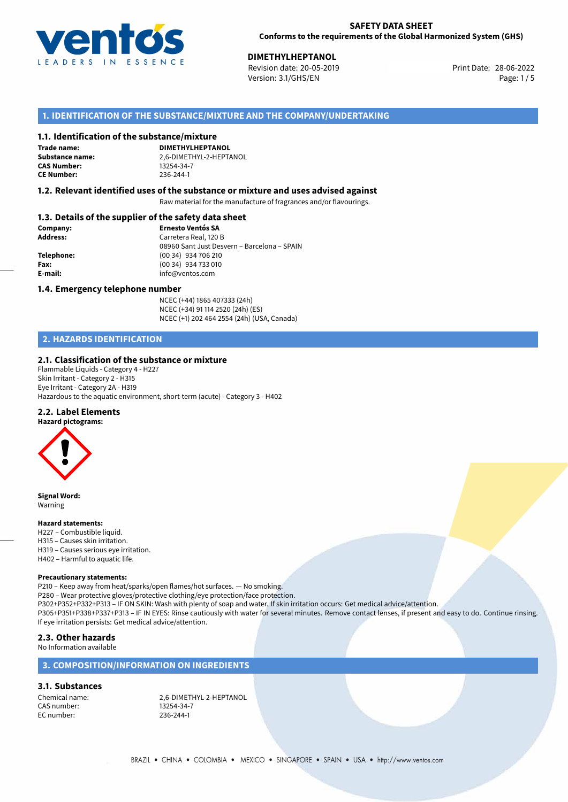

# **DIMETHYLHEPTANOL**<br>
Revision date: 20-05-2019

Revision date: 20-05-2019 Version: 3.1/GHS/EN Page: 1 / 5

#### **1. IDENTIFICATION OF THE SUBSTANCE/MIXTURE AND THE COMPANY/UNDERTAKING**

#### **1.1. Identification of the substance/mixture**

**Trade name: CAS Number: CE Number:** 236-244-1

**DIMETHYLHEPTANOL Substance name:** 2,6-DIMETHYL-2-HEPTANOL

#### **1.2. Relevant identified uses of the substance or mixture and uses advised against**

Raw material for the manufacture of fragrances and/or flavourings.

#### **1.3. Details of the supplier of the safety data sheet**

| Company:        | <b>Ernesto Ventós SA</b>                    |
|-----------------|---------------------------------------------|
| <b>Address:</b> | Carretera Real, 120 B                       |
|                 | 08960 Sant Just Desvern - Barcelona - SPAIN |
| Telephone:      | (00 34) 934 706 210                         |
| Fax:            | (00 34) 934 733 010                         |
| E-mail:         | info@ventos.com                             |
|                 |                                             |

#### **1.4. Emergency telephone number**

NCEC (+44) 1865 407333 (24h) NCEC (+34) 91 114 2520 (24h) (ES) NCEC (+1) 202 464 2554 (24h) (USA, Canada)

#### **2. HAZARDS IDENTIFICATION**

#### **2.1. Classification of the substance or mixture**

Flammable Liquids - Category 4 - H227 Skin Irritant - Category 2 - H315 Eye Irritant - Category 2A - H319 Hazardous to the aquatic environment, short-term (acute) - Category 3 - H402

#### **2.2. Label Elements**

**Hazard pictograms:**



**Signal Word:** Warning

#### **Hazard statements:**

- H227 Combustible liquid. H315 – Causes skin irritation. H319 – Causes serious eye irritation.
- H402 Harmful to aquatic life.

#### **Precautionary statements:**

P210 – Keep away from heat/sparks/open flames/hot surfaces. — No smoking. P280 – Wear protective gloves/protective clothing/eye protection/face protection. P302+P352+P332+P313 – IF ON SKIN: Wash with plenty of soap and water. If skin irritation occurs: Get medical advice/attention. P305+P351+P338+P337+P313 – IF IN EYES: Rinse cautiously with water for several minutes. Remove contact lenses, if present and easy to do. Continue rinsing. If eye irritation persists: Get medical advice/attention.

#### **2.3. Other hazards**

# No Information available

#### **3. COMPOSITION/INFORMATION ON INGREDIENTS**

#### **3.1. Substances**

CAS number: EC number: 236-244-1

Chemical name: 2,6-DIMETHYL-2-HEPTANOL<br>CAS number: 2008 13254-34-7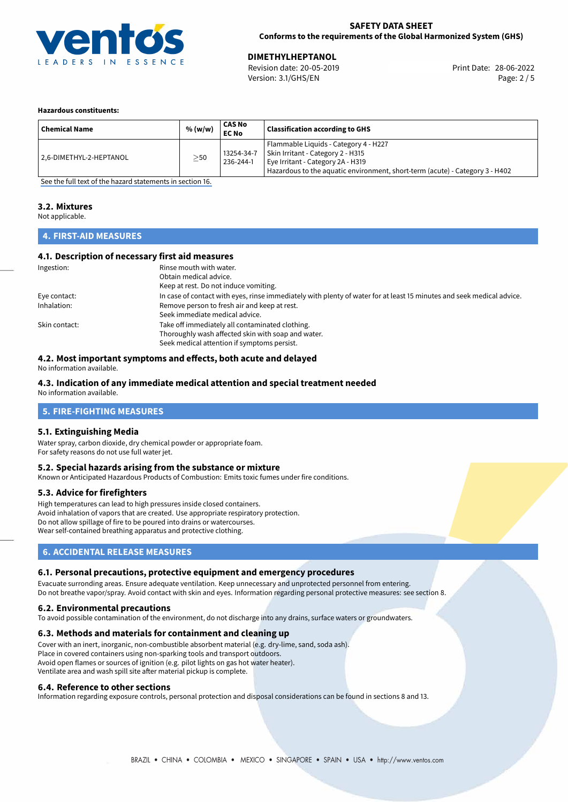

#### **SAFETY DATA SHEET Conforms to the requirements of the Global Harmonized System (GHS)**

Version: 3.1/GHS/EN Page: 2 / 5

28-06-2022 **DIMETHYLHEPTANOL** Revision date: 20-05-2019 Print Date:

#### **Hazardous constituents:**

| <b>Chemical Name</b>    | % (w/w)   | CAS No<br><b>EC No</b>  | <b>Classification according to GHS</b>                                                                                                                                                          |
|-------------------------|-----------|-------------------------|-------------------------------------------------------------------------------------------------------------------------------------------------------------------------------------------------|
| 2,6-DIMETHYL-2-HEPTANOL | $\geq$ 50 | 13254-34-7<br>236-244-1 | Flammable Liquids - Category 4 - H227<br>Skin Irritant - Category 2 - H315<br>Eye Irritant - Category 2A - H319<br>Hazardous to the aquatic environment, short-term (acute) - Category 3 - H402 |

[See the full text of the hazard statements in section 16.](#page-4-0)

### **3.2. Mixtures**

Not applicable.

#### **4. FIRST-AID MEASURES**

#### **4.1. Description of necessary first aid measures**

| Ingestion:    | Rinse mouth with water.                                                                                               |
|---------------|-----------------------------------------------------------------------------------------------------------------------|
|               | Obtain medical advice.                                                                                                |
|               | Keep at rest. Do not induce vomiting.                                                                                 |
| Eye contact:  | In case of contact with eyes, rinse immediately with plenty of water for at least 15 minutes and seek medical advice. |
| Inhalation:   | Remove person to fresh air and keep at rest.                                                                          |
|               | Seek immediate medical advice.                                                                                        |
| Skin contact: | Take off immediately all contaminated clothing.                                                                       |
|               | Thoroughly wash affected skin with soap and water.                                                                    |
|               | Seek medical attention if symptoms persist.                                                                           |

#### **4.2. Most important symptoms and effects, both acute and delayed**

No information available.

#### **4.3. Indication of any immediate medical attention and special treatment needed**

No information available.

#### **5. FIRE-FIGHTING MEASURES**

#### **5.1. Extinguishing Media**

Water spray, carbon dioxide, dry chemical powder or appropriate foam. For safety reasons do not use full water jet.

#### **5.2. Special hazards arising from the substance or mixture**

Known or Anticipated Hazardous Products of Combustion: Emits toxic fumes under fire conditions.

#### **5.3. Advice for firefighters**

High temperatures can lead to high pressures inside closed containers. Avoid inhalation of vapors that are created. Use appropriate respiratory protection. Do not allow spillage of fire to be poured into drains or watercourses. Wear self-contained breathing apparatus and protective clothing.

#### **6. ACCIDENTAL RELEASE MEASURES**

#### **6.1. Personal precautions, protective equipment and emergency procedures**

Evacuate surronding areas. Ensure adequate ventilation. Keep unnecessary and unprotected personnel from entering. Do not breathe vapor/spray. Avoid contact with skin and eyes. Information regarding personal protective measures: see section 8.

#### **6.2. Environmental precautions**

To avoid possible contamination of the environment, do not discharge into any drains, surface waters or groundwaters.

#### **6.3. Methods and materials for containment and cleaning up**

Cover with an inert, inorganic, non-combustible absorbent material (e.g. dry-lime, sand, soda ash). Place in covered containers using non-sparking tools and transport outdoors. Avoid open flames or sources of ignition (e.g. pilot lights on gas hot water heater). Ventilate area and wash spill site after material pickup is complete.

#### **6.4. Reference to other sections**

Information regarding exposure controls, personal protection and disposal considerations can be found in sections 8 and 13.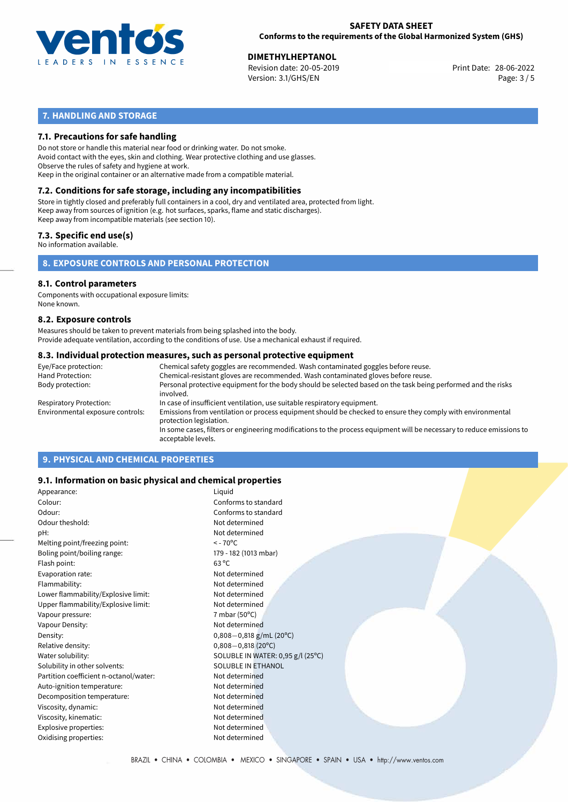

28-06-2022 **DIMETHYLHEPTANOL** Revision date: 20-05-2019 Print Date: Version: 3.1/GHS/EN Page: 3 / 5

#### **7. HANDLING AND STORAGE**

#### **7.1. Precautions for safe handling**

Do not store or handle this material near food or drinking water. Do not smoke. Avoid contact with the eyes, skin and clothing. Wear protective clothing and use glasses. Observe the rules of safety and hygiene at work. Keep in the original container or an alternative made from a compatible material.

# **7.2. Conditions for safe storage, including any incompatibilities**

Store in tightly closed and preferably full containers in a cool, dry and ventilated area, protected from light. Keep away from sources of ignition (e.g. hot surfaces, sparks, flame and static discharges). Keep away from incompatible materials (see section 10).

#### **7.3. Specific end use(s)**

No information available.

#### **8. EXPOSURE CONTROLS AND PERSONAL PROTECTION**

### **8.1. Control parameters**

Components with occupational exposure limits: None known.

#### **8.2. Exposure controls**

Measures should be taken to prevent materials from being splashed into the body. Provide adequate ventilation, according to the conditions of use. Use a mechanical exhaust if required.

#### **8.3. Individual protection measures, such as personal protective equipment**

| Eye/Face protection:             | Chemical safety goggles are recommended. Wash contaminated goggles before reuse.                                                            |
|----------------------------------|---------------------------------------------------------------------------------------------------------------------------------------------|
| Hand Protection:                 | Chemical-resistant gloves are recommended. Wash contaminated gloves before reuse.                                                           |
| Body protection:                 | Personal protective equipment for the body should be selected based on the task being performed and the risks<br>involved.                  |
| Respiratory Protection:          | In case of insufficient ventilation, use suitable respiratory equipment.                                                                    |
| Environmental exposure controls: | Emissions from ventilation or process equipment should be checked to ensure they comply with environmental<br>protection legislation.       |
|                                  | In some cases, filters or engineering modifications to the process equipment will be necessary to reduce emissions to<br>acceptable levels. |
|                                  |                                                                                                                                             |

#### **9. PHYSICAL AND CHEMICAL PROPERTIES**

#### **9.1. Information on basic physical and chemical properties**

| Appearance:                            | Liquid                            |
|----------------------------------------|-----------------------------------|
| Colour:                                | Conforms to standard              |
| Odour:                                 | Conforms to standard              |
| Odour theshold:                        | Not determined                    |
| pH:                                    | Not determined                    |
| Melting point/freezing point:          | $<$ - 70 $\mathrm{^{\circ}C}$     |
| Boling point/boiling range:            | 179 - 182 (1013 mbar)             |
| Flash point:                           | $63^{\circ}$ C                    |
| Evaporation rate:                      | Not determined                    |
| Flammability:                          | Not determined                    |
| Lower flammability/Explosive limit:    | Not determined                    |
| Upper flammability/Explosive limit:    | Not determined                    |
| Vapour pressure:                       | 7 mbar (50 $\degree$ C)           |
| Vapour Density:                        | Not determined                    |
| Density:                               | $0,808 - 0,818$ g/mL (20°C)       |
| Relative density:                      | $0,808 - 0,818$ (20°C)            |
| Water solubility:                      | SOLUBLE IN WATER: 0,95 g/l (25°C) |
| Solubility in other solvents:          | <b>SOLUBLE IN ETHANOL</b>         |
| Partition coefficient n-octanol/water: | Not determined                    |
| Auto-ignition temperature:             | Not determined                    |
| Decomposition temperature:             | Not determined                    |
| Viscosity, dynamic:                    | Not determined                    |
| Viscosity, kinematic:                  | Not determined                    |
| Explosive properties:                  | Not determined                    |
| Oxidising properties:                  | Not determined                    |
|                                        |                                   |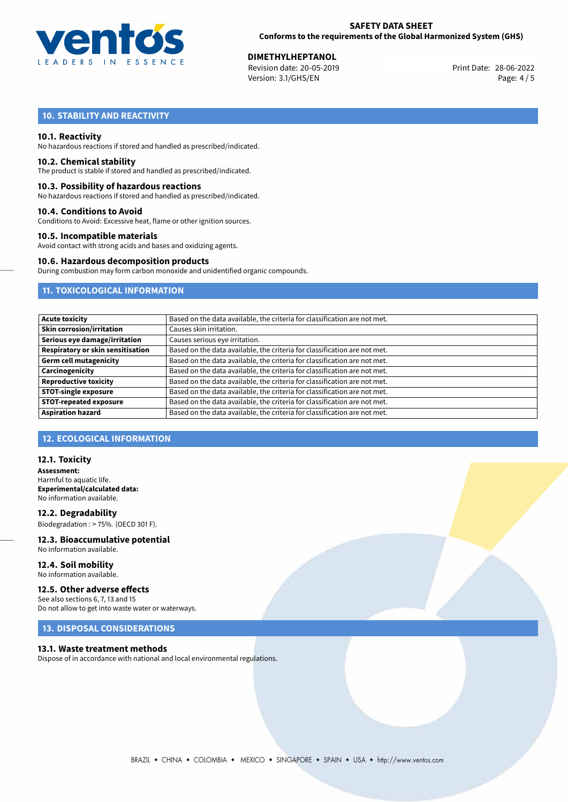

28-06-2022 **DIMETHYLHEPTANOL** Revision date: 20-05-2019 Print Date: Version: 3.1/GHS/EN Page: 4 / 5

### **10. STABILITY AND REACTIVITY**

#### **10.1. Reactivity**

No hazardous reactions if stored and handled as prescribed/indicated.

#### **10.2. Chemical stability**

The product is stable if stored and handled as prescribed/indicated.

#### **10.3. Possibility of hazardous reactions**

No hazardous reactions if stored and handled as prescribed/indicated.

#### **10.4. Conditions to Avoid**

Conditions to Avoid: Excessive heat, flame or other ignition sources.

#### **10.5. Incompatible materials**

Avoid contact with strong acids and bases and oxidizing agents.

#### **10.6. Hazardous decomposition products**

During combustion may form carbon monoxide and unidentified organic compounds.

#### **11. TOXICOLOGICAL INFORMATION**

| Based on the data available, the criteria for classification are not met. |
|---------------------------------------------------------------------------|
| Causes skin irritation.                                                   |
| Causes serious eye irritation.                                            |
| Based on the data available, the criteria for classification are not met. |
| Based on the data available, the criteria for classification are not met. |
| Based on the data available, the criteria for classification are not met. |
| Based on the data available, the criteria for classification are not met. |
| Based on the data available, the criteria for classification are not met. |
| Based on the data available, the criteria for classification are not met. |
| Based on the data available, the criteria for classification are not met. |
|                                                                           |

#### **12. ECOLOGICAL INFORMATION**

#### **12.1. Toxicity**

**Assessment:** Harmful to aquatic life. **Experimental/calculated data:** No information available.

**12.2. Degradability** Biodegradation : > 75%. (OECD 301 F).

#### **12.3. Bioaccumulative potential** No information available.

#### **12.4. Soil mobility** No information available.

#### **12.5. Other adverse effects**

See also sections 6, 7, 13 and 15 Do not allow to get into waste water or waterways.

#### **13. DISPOSAL CONSIDERATIONS**

#### **13.1. Waste treatment methods**

Dispose of in accordance with national and local environmental regulations.